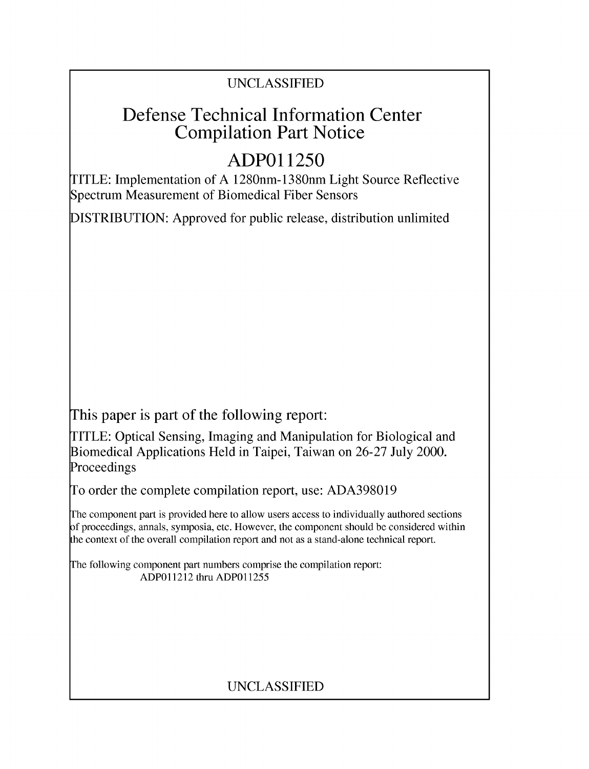## UNCLASSIFIED

## Defense Technical Information Center Compilation Part Notice

# **ADPO 11250**

TITLE: Implementation of A 1280nm- 1380nm Light Source Reflective Spectrum Measurement of Biomedical Fiber Sensors

DISTRIBUTION: Approved for public release, distribution unlimited

This paper is part of the following report:

TITLE: Optical Sensing, Imaging and Manipulation for Biological and Biomedical Applications Held in Taipei, Taiwan on 26-27 July 2000. Proceedings

To order the complete compilation report, use: ADA398019

The component part is provided here to allow users access to individually authored sections f proceedings, annals, symposia, etc. However, the component should be considered within [he context of the overall compilation report and not as a stand-alone technical report.

The following component part numbers comprise the compilation report: ADPO11212 thru ADP011255

## UNCLASSIFIED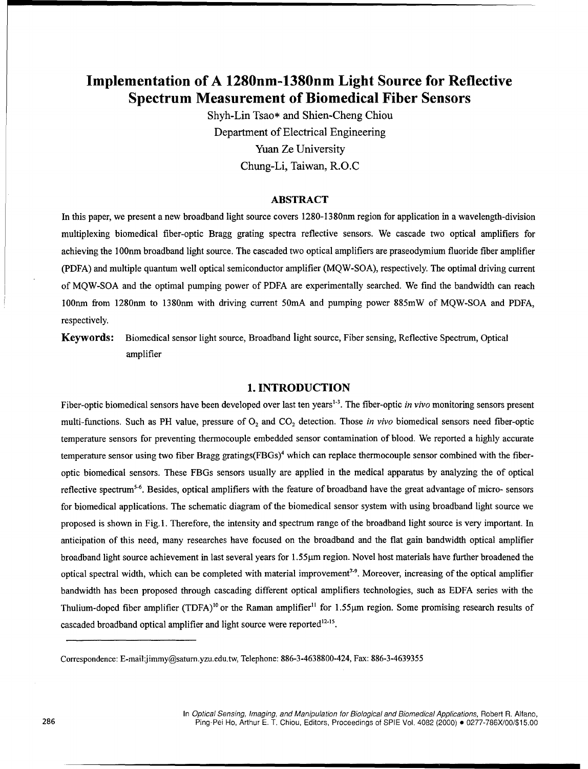### Implementation of **A** 1280nm-1380nm Light Source for Reflective Spectrum Measurement of Biomedical Fiber Sensors

Shyh-Lin Tsao\* and Shien-Cheng Chiou Department of Electrical Engineering Yuan Ze University Chung-Li, Taiwan, R.O.C

#### ABSTRACT

In this paper, we present a new broadband light source covers 1280-1380nm region for application in a wavelength-division multiplexing biomedical fiber-optic Bragg grating spectra reflective sensors. We cascade two optical amplifiers for achieving the 1 00nm broadband light source. The cascaded two optical amplifiers are praseodymium fluoride fiber amplifier (PDFA) and multiple quantum well optical semiconductor amplifier (MQW-SOA), respectively. The optimal driving current of MQW-SOA and the optimal pumping power of PDFA are experimentally searched. We find the bandwidth can reach 100nm from 1280nm to 1380nm with driving current 5OmA and pumping power 885mW of MQW-SOA and PDFA, respectively.

Keywords: Biomedical sensor light source, Broadband light source, Fiber sensing, Reflective Spectrum, Optical amplifier

#### **1. INTRODUCTION**

Fiber-optic biomedical sensors have been developed over last ten years<sup>1-3</sup>. The fiber-optic *in vivo* monitoring sensors present multi-functions. Such as PH value, pressure of O<sub>2</sub> and CO<sub>2</sub> detection. Those *in vivo* biomedical sensors need fiber-optic temperature sensors for preventing thermocouple embedded sensor contamination of blood. We reported a highly accurate temperature sensor using two fiber Bragg gratings(FBGs)<sup>4</sup> which can replace thermocouple sensor combined with the fiberoptic biomedical sensors. These FBGs sensors usually are applied in the medical apparatus by analyzing the of optical reflective spectrum<sup>5-6</sup>. Besides, optical amplifiers with the feature of broadband have the great advantage of micro- sensors for biomedical applications. The schematic diagram of the biomedical sensor system with using broadband light source we proposed is shown in Fig. **1.** Therefore, the intensity and spectrum range of the broadband light source is very important. In anticipation of this need, many researches have focused on the broadband and the flat gain bandwidth optical amplifier broadband light source achievement in last several years for 1.55ltm region. Novel host materials have further broadened the optical spectral width, which can be completed with material improvement<sup>7-9</sup>. Moreover, increasing of the optical amplifie bandwidth has been proposed through cascading different optical amplifiers technologies, such as EDFA series with the Thulium-doped fiber amplifier (TDFA)<sup>10</sup> or the Raman amplifier<sup>11</sup> for 1.55 µm region. Some promising research results of cascaded broadband optical amplifier and light source were reported<sup>12-15</sup>.

Correspondence: E-mail:jimmy@saturn.yzu.edu.tw, Telephone: 886-3-4638800-424, Fax: 886-3-4639355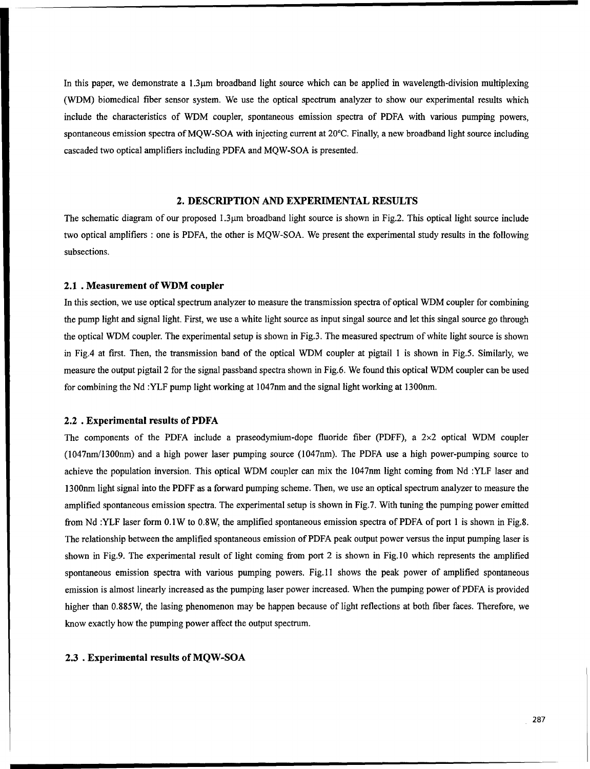In this paper, we demonstrate a 1.3<sup>um</sup> broadband light source which can be applied in wavelength-division multiplexing (WDM) biomedical fiber sensor system. We use the optical spectrum analyzer to show our experimental results which include the characteristics of WDM coupler, spontaneous emission spectra of PDFA with various pumping powers, spontaneous emission spectra of MQW-SOA with injecting current at 20'C. Finally, a new broadband light source including cascaded two optical amplifiers including PDFA and MQW-SOA is presented.

#### 2. **DESCRIPTION AND** EXPERIMENTAL **RESULTS**

The schematic diagram of our proposed  $1.3\mu$ m broadband light source is shown in Fig.2. This optical light source include two optical amplifiers **:** one is PDFA, the other is MQW-SOA. We present the experimental study results in the following subsections.

#### 2.1 **.** Measurement of WDM coupler

In this section, we use optical spectrum analyzer to measure the transmission spectra of optical WDM coupler for combining the pump light and signal light. First, we use a white light source as input singal source and let this singal source go through the optical WDM coupler. The experimental setup is shown in Fig.3. The measured spectrum of white light source is shown in Fig.4 at first. Then, the transmission band of the optical WDM coupler at pigtail **I** is shown in Fig.5. Similarly, we measure the output pigtail 2 for the signal passband spectra shown in Fig.6. We found this optical WDM coupler can be used for combining the Nd :YLF pump light working at 1047nm and the signal light working at 1300nm.

#### 2.2 . Experimental results of PDFA

The components of the PDFA include a praseodymium-dope fluoride fiber (PDFF), a 2x2 optical WDM coupler (1047nm/1300nm) and a high power laser pumping source (1047nm). The PDFA use a high power-pumping source to achieve the population inversion. This optical WDM coupler can mix the 1047nm light coming from Nd :YLF laser and 1300nm light signal into the PDFF as a forward pumping scheme. Then, we use an optical spectrum analyzer to measure the amplified spontaneous emission spectra. The experimental setup is shown in Fig.7. With tuning the pumping power emitted from Nd :YLF laser form 0.1W to 0.8W, the amplified spontaneous emission spectra of PDFA of port 1 is shown in Fig.8. The relationship between the amplified spontaneous emission of PDFA peak output power versus the input pumping laser is shown in Fig.9. The experimental result of light coming from port 2 is shown in Fig.10 which represents the amplified spontaneous emission spectra with various pumping powers. Fig. 11 shows the peak power of amplified spontaneous emission is almost linearly increased as the pumping laser power increased. When the pumping power of PDFA is provided higher than 0.885W, the lasing phenomenon may be happen because of light reflections at both fiber faces. Therefore, we know exactly how the pumping power affect the output spectrum.

#### 2.3 . Experimental results of **MQW-SOA**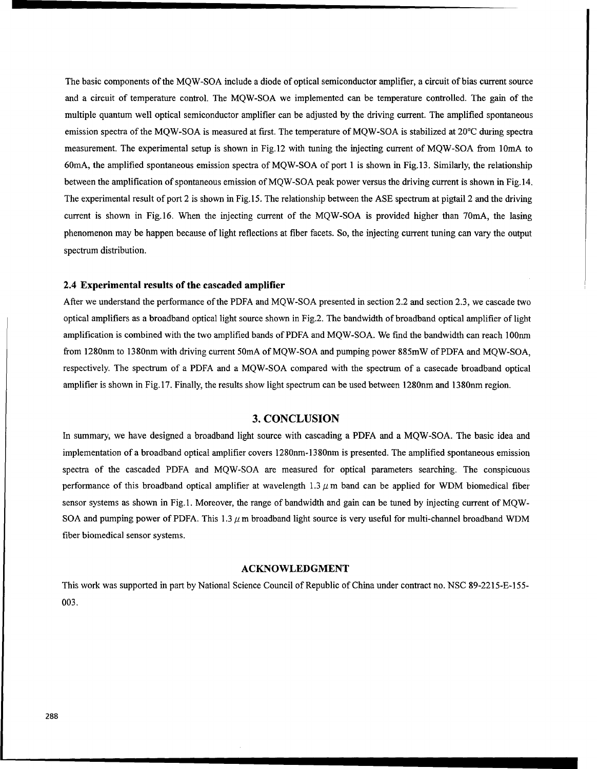The basic components of the MQW-SOA include a diode of optical semiconductor amplifier, a circuit of bias current source and a circuit of temperature control. The MQW-SOA we implemented can be temperature controlled. The gain of the multiple quantum well optical semiconductor amplifier can be adjusted by the driving current. The amplified spontaneous emission spectra of the MQW-SOA is measured at first. The temperature of MQW-SOA is stabilized at 20'C during spectra measurement. The experimental setup is shown in Fig.12 with tuning the injecting current of MQW-SOA from 10mA to 60mA, the amplified spontaneous emission spectra of MQW-SOA of port 1 is shown in Fig. 13. Similarly, the relationship between the amplification of spontaneous emission of MQW-SOA peak power versus the driving current is shown in Fig. 14. The experimental result of port 2 is shown in Fig. 15. The relationship between the ASE spectrum at pigtail 2 and the driving current is shown in Fig.16. When the injecting current of the MQW-SOA is provided higher than 70mA, the lasing phenomenon may be happen because of light reflections at fiber facets. So, the injecting current tuning can vary the output spectrum distribution.

#### 2.4 Experimental results of the cascaded amplifier

After we understand the performance of the PDFA and MQW-SOA presented in section 2.2 and section 2.3, we cascade two optical amplifiers as a broadband optical light source shown in Fig.2. The bandwidth of broadband optical amplifier of light amplification is combined with the two amplified bands of PDFA and MQW-SOA. We find the bandwidth can reach **100nm** from 1280nm to 1380nm with driving current 50mA of MQW-SOA and pumping power 885mW of PDFA and MQW-SOA, respectively. The spectrum of a PDFA and a MQW-SOA compared with the spectrum of a casecade broadband optical amplifier is shown in Fig. 17. Finally, the results show light spectrum can be used between 1280nm and 1380nm region.

#### **3. CONCLUSION**

In summary, we have designed a broadband light source with cascading a PDFA and a MQW-SOA. The basic idea and implementation of a broadband optical amplifier covers 1280nm-1380nm is presented. The amplified spontaneous emission spectra of the cascaded PDFA and MQW-SOA are measured for optical parameters searching. The conspicuous performance of this broadband optical amplifier at wavelength  $1.3 \mu$ m band can be applied for WDM biomedical fiber sensor systems as shown in Fig. 1. Moreover, the range of bandwidth and gain can be tuned by injecting current of MOW-SOA and pumping power of PDFA. This  $1.3 \mu$  m broadband light source is very useful for multi-channel broadband WDM fiber biomedical sensor systems.

#### **ACKNOWLEDGMENT**

This work was supported in part by National Science Council of Republic of China under contract no. NSC 89-2215-E-155- 003.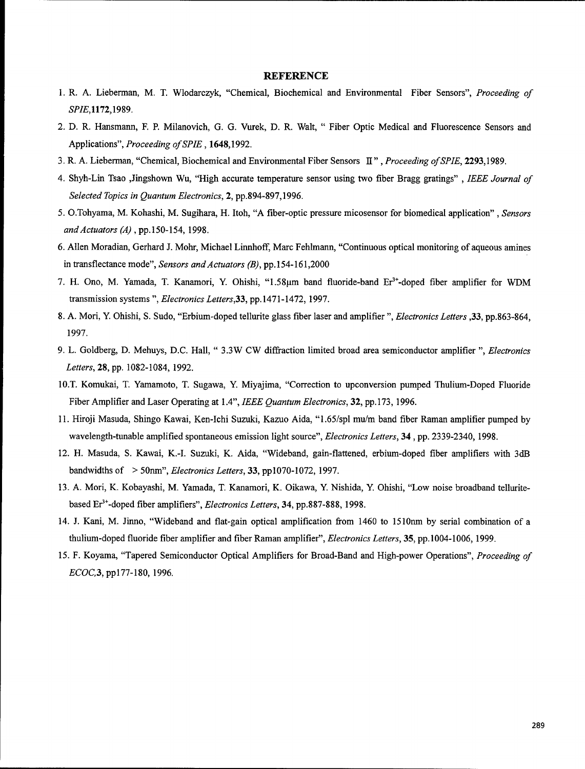#### **REFERENCE**

- 1. R. A. Lieberman, M. T. Wlodarczyk, "Chemical, Biochemical and Environmental Fiber Sensors", *Proceeding of* SPIE,1172,1989.
- 2. D. R. Hansmann, F. P. Milanovich, G. G. Vurek, D. R. Walt, " Fiber Optic Medical and Fluorescence Sensors and Applications", *Proceeding of SPIE,* 1648,1992.
- 3. R. A. Lieberman, "Chemical, Biochemical and Environmental Fiber Sensors II", *Proceeding of SPIE,* 2293,1989.
- 4. Shyh-Lin Tsao ,Jingshown Wu, "High accurate temperature sensor using two fiber Bragg gratings", *IEEE Journal of Selected Topics in Quantum Electronics,* 2, pp.894-897,1996.
- 5. O.Tohyama, M. Kohashi, M. Sugihara, H. Itoh, "A fiber-optic pressure micosensor for biomedical application", *Sensors andActuators (A)* , **pp.150-154,** 1998.
- 6. Allen Moradian, Gerhard J. Mohr, Michael Linnhoff, Marc Fehlmann, "Continuous optical monitoring of aqueous amines in transflectance mode", *Sensors and Actuators (B),* pp. 154-161,2000
- 7. H. Ono, M. Yamada, T. Kanamori, Y. Ohishi, "1.58µm band fluoride-band Er<sup>3+</sup>-doped fiber amplifier for WDM transmission systems ", *Electronics Letters,33,* pp. 1471-1472, 1997.
- 8. A. Mori, Y Ohishi, S. Sudo, "Erbium-doped tellurite glass fiber laser and amplifier ", *Electronics Letters* ,33, pp.863-864, 1997.
- 9. L. Goldberg, D. Mehuys, D.C. Hall, " 3.3W CW diffraction limited broad area semiconductor amplifier ", *Electronics Letters,* 28, pp. 1082-1084, 1992.
- 10.T. Komukai, T. Yamamoto, T. Sugawa, Y. Miyajima, "Correction to upconversion pumped Thulium-Doped Fluoride Fiber Amplifier and Laser Operating at 1.4", *IEEE Quantum Electronics,* 32, pp.173, 1996.
- 11. Hiroji Masuda, Shingo Kawai, Ken-Ichi Suzuki, Kazuo Aida, "1.65/spl mu/m band fiber Raman amplifier pumped by wavelength-tunable amplified spontaneous emission light source", *Electronics Letters,* 34, pp. 2339-2340, 1998.
- 12. H. Masuda, S. Kawai, K.-I. Suzuki, K. Aida, "Wideband, gain-flattened, erbium-doped fiber amplifiers with 3dB bandwidths of > 50nm", *Electronics Letters,* 33, ppl1070-1072, 1997.
- 13. A. Mori, K. Kobayashi, M. Yamada, T. Kanamori, K. Oikawa, Y. Nishida, Y. Ohishi, "Low noise broadband telluritebased Er<sup>3+</sup>-doped fiber amplifiers", *Electronics Letters*, 34, pp.887-888, 1998.
- 14. J. Kani, M. Jinno, "Wideband and flat-gain optical amplification from 1460 to 1510nm by serial combination of a thulium-doped fluoride fiber amplifier and fiber Raman amplifier", *Electronics Letters,* 35, pp. 1004-1006, 1999.
- 15. F. Koyama, "Tapered Semiconductor Optical Amplifiers for Broad-Band and High-power Operations", *Proceeding of ECOC,3,* pp177-180, 1996.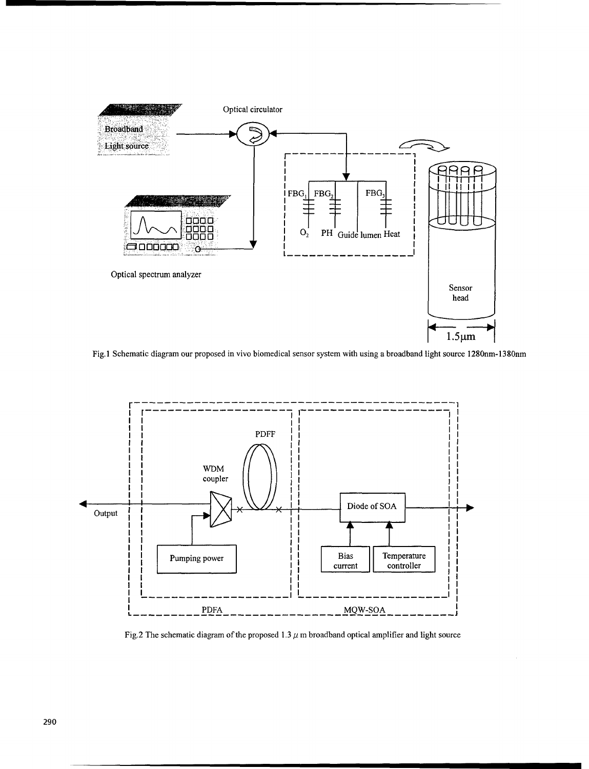

Fig. 1 Schematic diagram our proposed in vivo biomedical sensor system with using a broadband light source 1280nm-1380nm



Fig.2 The schematic diagram of the proposed  $1.3 \mu$  m broadband optical amplifier and light source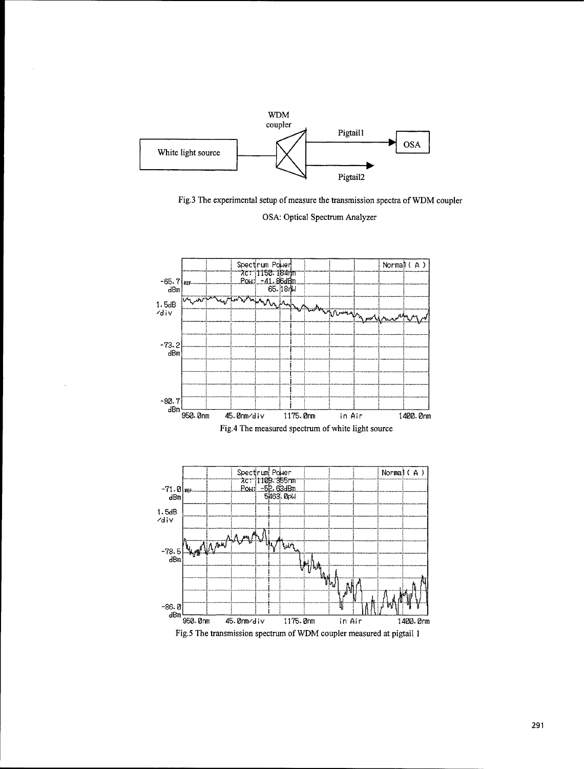

Fig.3 The experimental setup of measure the transmission spectra of WDM coupler



**OSA: Optical Spectrum Analyzer**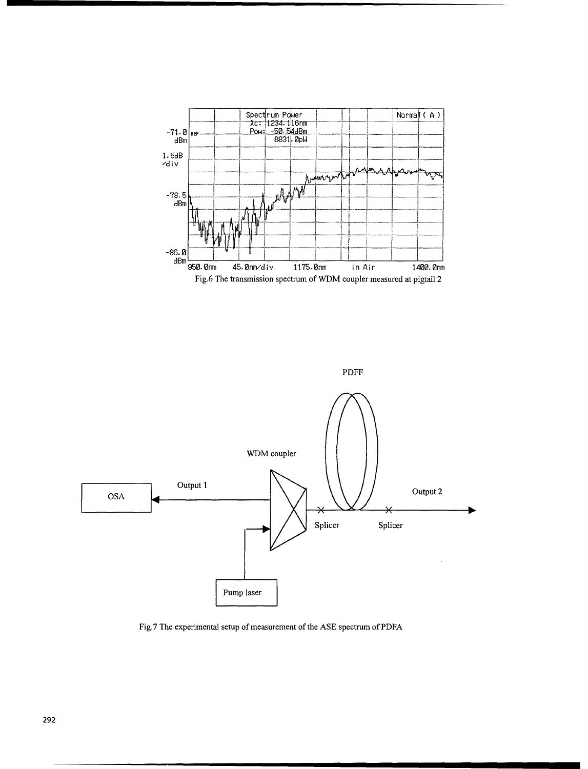



Fig.7 The experimental setup of measurement of the ASE spectrum of PDFA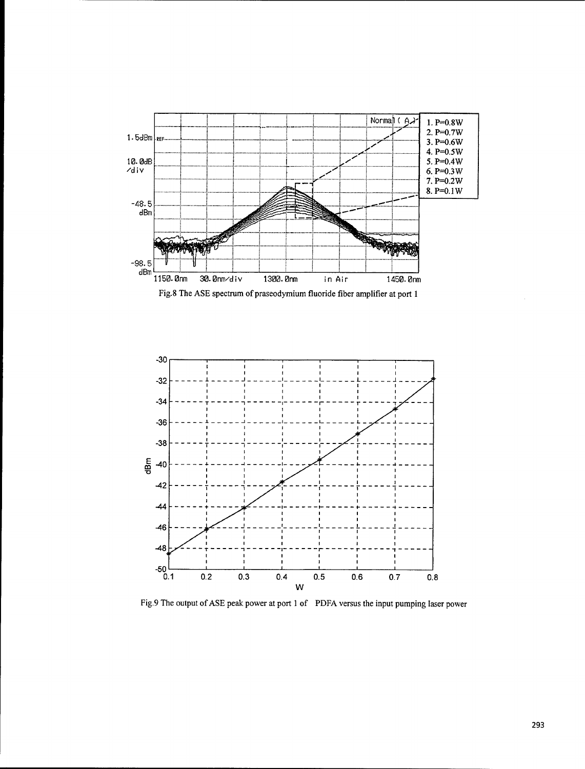

Fig.8 The ASE spectrum of praseodymium fluoride fiber amplifier at port 1



Fig.9 The output of **ASE** peak power at port 1 of PDFA versus the input pumping laser power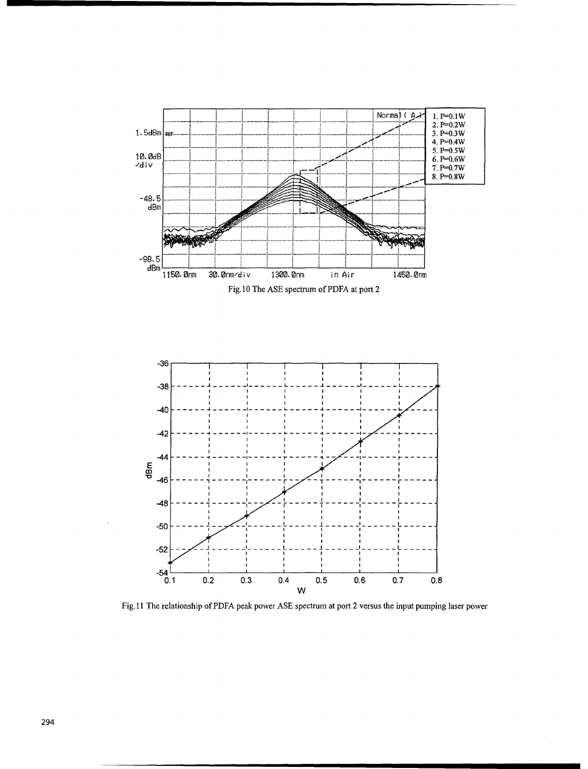

Fig.11 The relationship of PDFA peak power ASE spectrum at port 2 versus the input pumping laser power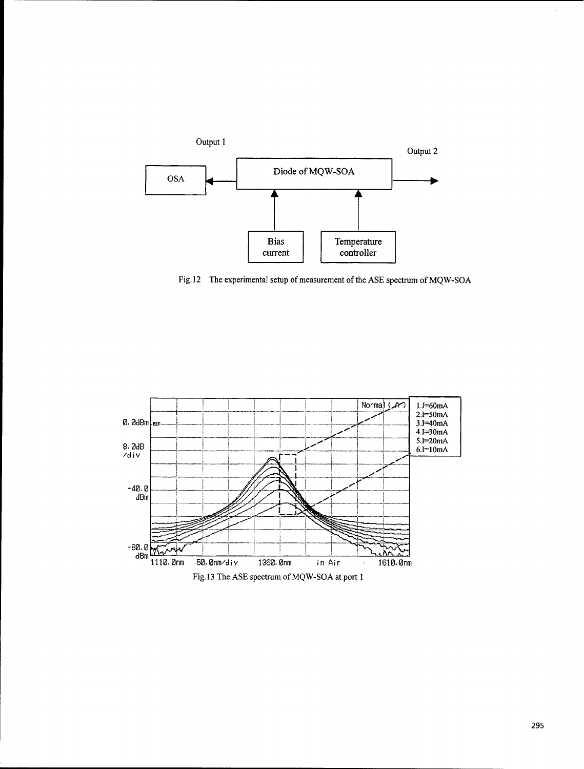

Fig. 12 The experimental setup of measurement of the **ASE** spectrum of **MQW-SOA**

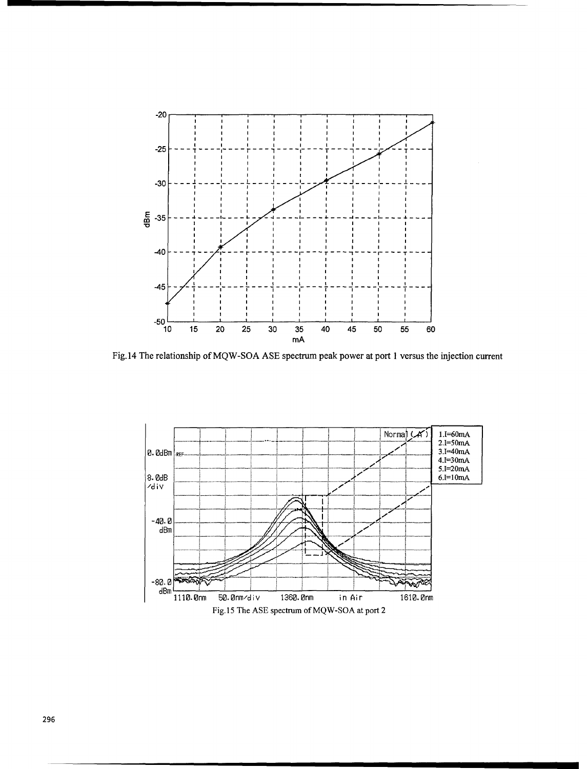

Fig.14 The relationship of MQW-SOA ASE spectrum peak power at port 1 versus the injection current